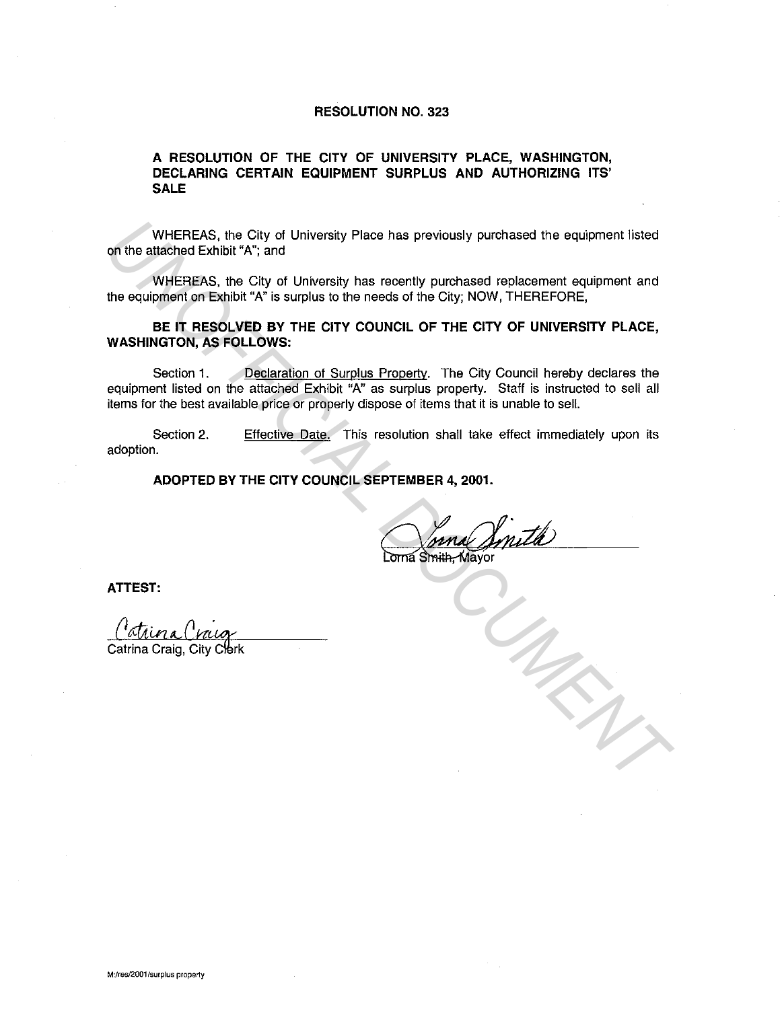## **RESOLUTION NO. 323**

## **A RESOLUTION OF THE CITY OF UNIVERSITY PLACE, WASHINGTON, DECLARING CERTAIN EQUIPMENT SURPLUS AND AUTHORIZING ITS' SALE**

WHEREAS, the City of University Place has previously purchased the equipment listed on the attached Exhibit "A"; and

WHEREAS, the City of University has recently purchased replacement equipment and the equipment on Exhibit "A" is surplus to the needs of the City; NOW, THEREFORE,

**BE IT RESOLVED BY THE CITY COUNCIL OF THE CITY OF UNIVERSITY PLACE, WASHINGTON, AS FOLLOWS:** 

Section 1. Declaration of Surplus Property. The City Council hereby declares the equipment listed on the attached Exhibit "A" as surplus property. Staff is instructed to sell all items for the best available price or properly dispose of items that it is unable to sell. WHEREAS, the City of University Place has previously purchased the equipment listed<br>on the statched Exhibit <sup>27</sup>, and<br>the equipment on Exhibit <sup>27</sup>, and City of University has recently purchased replacement equipment and<br>t

Section 2. adoption. Effective Date. This resolution shall take effect immediately upon its

**ADOPTED BY THE CITY COUNCIL SEPTEMBER 4, 2001.** 

**ATTEST:**